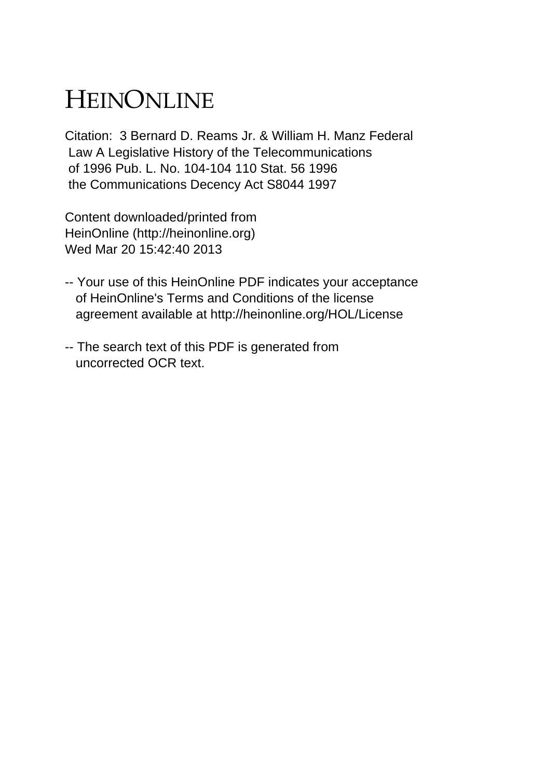# HEINONLINE

Citation: 3 Bernard D. Reams Jr. & William H. Manz Federal Law A Legislative History of the Telecommunications of 1996 Pub. L. No. 104-104 110 Stat. 56 1996 the Communications Decency Act S8044 1997

Content downloaded/printed from HeinOnline (http://heinonline.org) Wed Mar 20 15:42:40 2013

- -- Your use of this HeinOnline PDF indicates your acceptance of HeinOnline's Terms and Conditions of the license agreement available at http://heinonline.org/HOL/License
- -- The search text of this PDF is generated from uncorrected OCR text.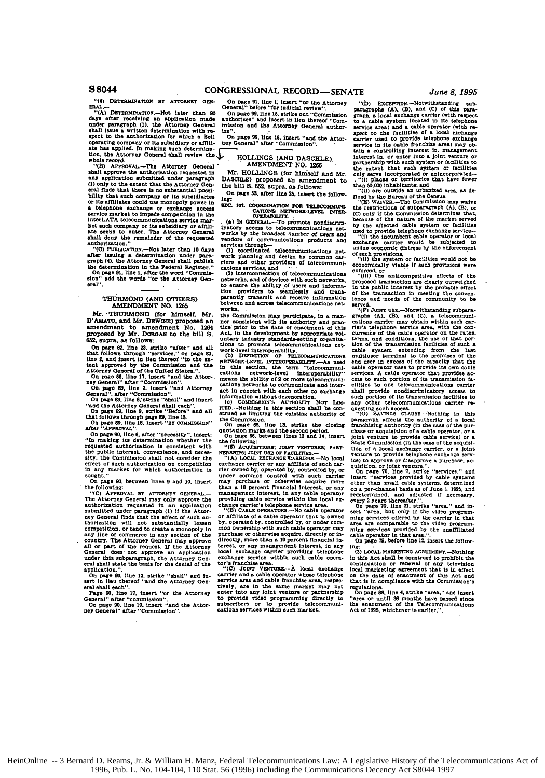"(4) DETERMINATION BY ATTORNET

ERAL,-<br>"(A) DETERMINATION,-Not later than 90<br>"(A) DETERMINATION,-Not later than 90 Any Actual method of the receiving an application made<br>ander paragraph (1), the Attorney General<br>shall issue a written determination with re-<br>spect to the authorization for which a Bell spect to the submitterial of which a Selli-<br>operating company or its subsidiary or affili-<br>ate has applied. In making such determina-<br>tion, the Attorney General ahall review the whole record.

"(B) APPROVAL.--The Attorney General<br>shall approve the authorization requested in shall approve the authorization requested in<br>any application submitted under paragraph<br>(1) only to the extent that the Attorney General finds that there is no substantial possibility that such company or its subsidiaries  $-1$ affiliates could use monopoly power in a telephone exchange or exchange access service market to impede competition in the<br>interLATA telecommunications service market<br>ket such company or its subsidiary or affili-<br>ate seeks to enter. The Attorney General shall deny the remainder of the requested Shall deny and ......<br>authorization."<br>"(C) PUBLICATION.

-Not later than 10 days  $en!$ 

### THURMOND (AND OTHERS) **AMENDMENT NO. 1265**

Mr. THURMOND (for himself, Mr. D'AMATO, and Mr. DEWINE) proposed an Denato, and mr. DENIRE) proposed and<br>amendment to amendment No. 1264<br>proposed by Mr. DORGAN to the bill S.<br>652, supra, as follows:

632, suppra, as follows:<br>
Compagne 22, strike "after" and all that follows through "tervices." on page 82,<br>
that follows through "tervices." on page 82, that sproved by the Commission and the<br>
line 2, and insert in lieu th

Ton mean 89, line 3, insert<sup>11</sup> and Attorney<br>General, steps: 10, insert<br>Ceneral, atter "Commission", and the Attorney<br>Ceneral state is a strike "hall" and insert<br>"on page 89, line 6, strike "Before" and all<br>that follows th sity, the Commission shall not consider the sity, the commission shall not consider the effect of such authorization on competition<br>in any market for which authorization is<br>sought."

On page 90, between lines 9 and 10, insert

On page 90, between lines 9 and 10, insert<br>the following:<br>"(C) APPROVAL BY ATTORNEY GENERAL.—<br>The Attorney General may only approve the<br>authorization requested in an application<br>submitted under paragraph (1) if the Attor-<br> solution part of the request. If the Attorney<br>General does not approve an application<br>under this subparagraph, the Attorney General<br>eral shall state the basis for the denial of the<br>eral shall state the basis for the denial application.

appuration...<br>On page 90, line 12, strike "shall" and in-<br>sert in lieu thereof "and the Attorney General shall each".

eral shall each".<br>
Page 90, line 17, insert "or the Attorney<br>
General" after "commission".<br>
On page 90, line 19, insert "and the Attorney General" after "Commission".

On page 91, line 1; insert "or the Attorney<br>General" before "for indicial west-on"

On page 99, line is, atriba out "Commission<br>authorizes" and insert in lieu thereof "Commission<br>mission and the Attorney General authorize<sup>1</sup>

On page 99, line 18, insert "and the Attor-<br>ney General" after "Commission".

HOLLINGS (AND DASCHLE)<br>AMENDMENT NO. 1266

Mr. HOLLINGS (for himself and Mr. DASCHLE) proposed an amendment to the bill S. 652, supra, as follows: On page 53, after line 25, insert the follow-

 $10<sup>2</sup>$ Ing:<br>SEC. 107. COORDENATION FOR TELECOMMUNI-<br>CATIONS NETWORK-LEVEL DYTER-<br>DEERABILITY...

(a) IN GENERAL...-To promote nondiscrim-<br>inatory access to telecommunications net-<br>works by the broadest number of users and of communications products and ven lors services through-<br>
(1) coordinated telecommunications net-

vork planning and design by common car-<br>riers and other providers of telecommuni-<br>cations services, and<br>(2) interconnection of telecommunications

(a) interconnection of telecommunications<br>networks, and of devices with such networks,<br>to ensure the ability of users and informa-<br>tion providers to essentiesty and trans-<br>parently transmit and receive information<br>between  $\overline{\text{work}}$ 

works, the Commission may participate, in a mannited to consistent with its authority and practice prior to the date of enactment of this detection. Act, in the development by appropriate volutions to promote telecommunica

**In** this section, the term "telecomm in this section, the term "telecommunications network-level interoperability"<br>means the ability of 2 or more telecommuni-<br>cations networks to communicate and inter-

cations networks to communicate and inter-<br>act in concert with each other to exchange<br>information without degeneration.<br>(c) CoMMRSROW'S AUTEORTITY NOT LEM-<br>TED.-Nothing in this section shall be con-<br>strued as limiting the

structure the existing authority of<br>the Commission.<br>On page 68, line is, strike the commission.<br>quotation marks and the second period.<br>On page 68, between lines 13 and 14, insert<br>the following:<br>"(6) Acquisitrious: JORT VEG

NERSHIPS: JOINT USE OF FACILITIES.- "(A) LOCAL EXCHANGE CARRIERS.- No local

(A) DOCAL EXCHANGE CARRIERS ... TO DOCAL EXCHANGE CALIFATOR CAPITAL CHARGE CAPITAL THE OWNER ON OUR CAPITAL CHARGE CONTROL ON THE CONTROL ON THE CONTROL OF THE CONTROL ON THE CONTROL OF THE CONTROL OF THE CONTROL ON THE CO under common control with auch carrier<br>may purchase or otherwise acquire more<br>than a 10 percent financial interest, or any<br>management interest, in any cable operator<br>providing cable service within the local ex-<br>change carr

purchase or otherwise acquire, directly or in-<br>directly, more than a 10 percent financial interest, or any management interest, in any execution carrier providing telephone<br>schemes service within such cable operators franchise area.<br>toris franchise area.<br>"(C) JOBT VENTURE ....A local exchange

"(C) John" VENTURE...-A local exchange<br>carrier and a cable operator whose telephone<br>service area and cable franchise area, respectively. are in the same market may not<br>enter into any joint venture or partnership<br>to provide

"(D) EXCEPTION.-Notwithstanding "(D) EXCEPTION.-Notwithstanding sub-<br>paragraphs (A), (B), and (C) of this paragraphs (A), (B), and (C) of this paragraph, a local exchange carrier (with respect<br>to a cable system located in its telephone service area) and service in its cable framelise area) may ob-<br>tain a controlling interest in. management interest in, or enter into a joint venture or<br>interest in, or enter into a joint venture or partnership with such system or facilitie

"(ii) are outside an urbanized area, as de-<br>
"(ii) are outside an urbanized area, as de-<br>
The Census.<br>
"(E) WAIVER.—The Commission may waive<br>
the restrictions of auparaxysmapid (A), (B), or<br>
by cause of the nature of the

undue economic distress by the enforcement

undue economic distress of the concernier-<br>of such provisions,<br>"(ii) the system or facilities would not be<br>economically viable if such provisions were

enforced, or<br>"(iii) the anticompetitive effects of the univ and annually<br>composed transaction are clearly outweighed in the public interest by the probable effect<br>of the transaction in meeting the conven-<br>length of the community to be<br>denote and meets of the community to be served.

veu.<br>'(F) JOINT USE — Notwithstanding subpara "(F) Jorn russ—Notwithstanding subparameters are graphs (A), GB, and (C), a telecommunications carrier may obtain within such carrier delephone service area, with the concrete carrier contrene of the dealt operator on the end user in excess of the capacity that the<br>cable operator uses to provide its own cable<br>services. A cable operator that provides access to such portion of its transmission fact<br>clittes to one belecommunications carrier<br>cl

questing such access.<br>"(G) SAVINGS CLAUSE.-Nothing in this 

on a per-channel basis as of June 1, 1995, and ou a per-cumulation as a solution of the rest and the rest of the constant of the constant of the constant of the constant of the constant and in-

ming services offered by the carrier in that<br>area are comparable to the video programming services one red to the video program-<br>ming services provided by the unaffiliated<br>cable operator in that area.".<br>Con page 79, before line 12, insert the follow-

ing.<br>(3) LOCAL MARKETING AGREEMENT.—Nothing<br>contract to training the in this Act shall be construed to problem the continuation or renewal of any television local marketing agreement that is in effect on the date of enactment of this Act and that is in compliance with the Commission's regulations.<br>On page 88, line 4, strike "area," and insert

On page 88, 1186 7, SUITE 3, and there is the encoder that the enactment of the Telecommunications Act of 1995, whichever is earlier,".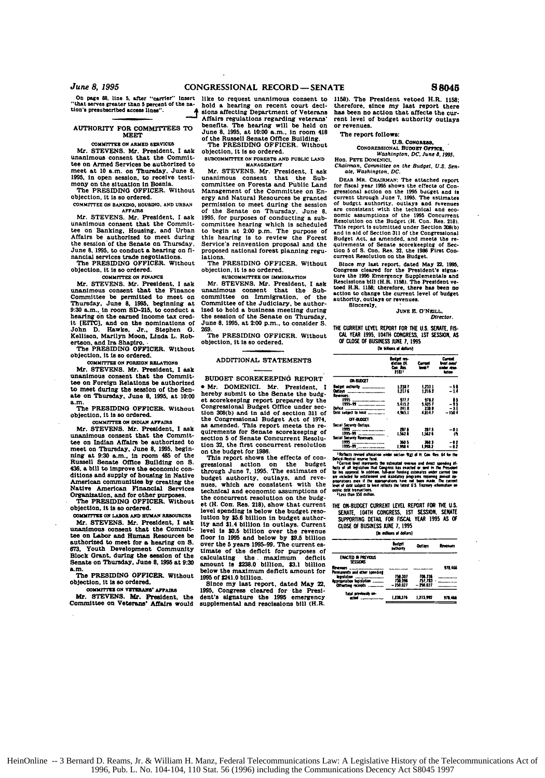### AUTHORITY FOR COMMITTEES TO **MEET MEET** June **8, 1995. at 10:00 a.m.,** In room 418 of the Russell Senate Office Building. coMMrrrEo **ON ARMED** SaRvIcEs The **PRESIDING** OFFICER. Without

Mr. **STEVENS.** Mr. President, **I** ask objection, It **is** so ordered. unanimous consent that the Commit- suscommirEE **ON** FORESTS **AND PUBLIC LAND** tee on Armed Services be authorized to **MANAOEMEb'r**

June 8, 1995, to conduct a hearing on fi-<br>nancial services trade negotiations. lations. lations.<br>The PRESIDING OFFICER. Without The PRESIDING OFFICER. Without

somewrigg of FINES Mr. STEVENS. Mr. STEVENS ME STEVENS. Mr. STEVENS. Mr. STEVENS. Mr. STEVENS. Mr. STEVENS. Mr. STEVENS. Mr. STEVENS. Mr. STEVENS. Mr. STEVENS. Mr. STEVENS. Mr. STEVENS. Mr. STEVENS. Mr. STEVENS. Mr. STEVEN **9.30 a.m., in room SD-215. Committee be permitted to meet on committee on Immigration, of the Thursday, June 8, 1995. beginning at Committee of the Judiciary, be author-9:30 a.m., in room SD-215, to conduct a ized to hold** hearing on the sarned income tax cred-<br>the session of the Senate on Thursday<br>it (EITC), and on the nominations of June 8, 1995, at 2:00 p.m., to consider S<br>John D. Hawke, Jr., Stephen G. 269.<br>Kellison, Marilyn Moon, Linda

**objection. it is so ordered.** *CONNETTER ON POREIGN BELATIONS ADDITIONAL STATEMENTS* 

Mr. STEVENS. Mr. President, I ask<br>unanimous consent that the Commit-<br>tee on Foreign Relations be authorized<br>to meet during the session of the Sen-<br>ate on Thursday, June 8, 1995, at 10:00<br>a.m.

The **PRESIDING** OFFICER. Without objection, it is so ordered.

**COMMITTEE ON INDIAN AFFAIRS**<br>Mr. STEVENS. Mr. President, I ask Mr. **STEVENS.** Mr. President, **I** ask unanimous consent that the Commit- tee on Indian Affairs be authorized to meet on Thursday. June **8, 1995.** beginning at **9:30** a.m., in room **485 of** the Russell Senate Office Building on **S.** 436. a **bill** to improve the economic con-436, a bill to improve the economic conditions and supply of housing in Native American communities **by** creating the Native **American** Financial Services

Organization, and for other purposes. The PRESIDING OFFICER. Without objection, it is so ordered.

**COMMITTEE ON LABOR AND HUMAN RESOURCES**<br>Mr. STEVENS, Mr. President, I aak Mr. **STEVENS.** Mr. President, **I** ask unanimous consent that the Commit- tee on Labor and Human Resources be authorized to meet for **a** hearing on **S. 673,** Youth Development Community Block Grant, during the session of the Senate on Thursday, June 8, 1995 at 9:30 Senate on Thursday, June 8, 1995 at 9:30 a.m.

The PRESIDING OFFICER. Without objection, it is so ordered.

**COMMITTEE ON VETERANS' AFFAIRS** 

**Mr. STEVENS.** Mr. President, the Committee on Veterans\* Affairs would

On page 88, line 5, after "carrier" insert like to request unanimous consent to "that serves greater than 5 percent of the na-hold a hearing on recent court decition's presubscribed access lines".<br>  $\uparrow$  sions affecting D Affairs regulations regarding veterans'

meet at 10 a.m. on Thursday, June 8. Mr. STEVENS. Mr. Fresident, I ask<br>1995, in open session, to receive testi- unanimous consent that the Sub-<br>mony on the situation in Bosnia. committee on Forests and Public Land<br>The PRES The PRESIDING OFFICER. Without Management of the Committee on En-<br>objection, it is so ordered.<br>COMMITTEE ON BANKING, HOUSING, AND URBAN permission to meet during the session<br>of the Senate on Thursday, June 8. **COMMITTEE ON BANKING, HOUSING. AND URBAN permission to meet during the session**<br>**AFAIRS** of the Senate on Thursday. June 8.<br>**Mr. STEVENS DOUTING THE SENATE ON THURSDAY CONSTANT CONSTANT ON THE SENATE ON THE SENATE O** 1995, for purposes of conducting a subunanimous consent that the Commit- committee hearing which is scheduled tee on Banking. Housing, and Urban to begin at 2:00 p.m. The purpose of Affairs be authorized to meet during this hearing is to review the Forest the session of the Senate on Thursday. Service's reinvention proposal and the June 8, 1995, to conduct a hearing on fi- proposed national forest planning regu-

nancial services trade negotiations. <br>
The PRESIDING OFFICER. Without<br>
objection, it is so ordered.<br>
objection, it is so ordered.<br>
COMMITTEE ON ARRIVER ON ARRIVER ON AMIGRATION

**BUDGET SCOREKEEPING REPORT**<br>• Mr. DOMENICI. Mr. President, I hereby submit to the Senate the budg-<br>et scorekeeping report prepared by the et scorekeeping report prepared **by the** Congressional Budget Office under **sec**tion 308(b) and in aid of section 311 of the Congressional Budget Act of 1974. as amended. This report meets the reas amements for Senate scorekeeping of section 5 of Senate Concurrent Resolution 32, the first concurrent resolution

on the budget for **198.** This report shows the effects of congressional action on the budget through June **7, 1995.** The estimates **of** budget authority, outlays, and reve-nues, which are consistent with the **technical and economic assumptions of** the concurrent resolution on the budg-<br>
et (H. Con. Res. 218), show that current<br>
level epending is below the budget reso-<br>
lution by \$5.6 billion in budget author-<br>
ity and \$1.4 billion in outlays. Current ity and \$1.4 billion in outlays. Current<br>level is \$0.5 billion on the revenue of the conduction floor in 1995 and below by \$9.5 billion<br>floor in 1995 and below by \$9.5 billion<br>timate of the deficit for purposes of<br>calcula **1995** of \$241.0 billion. Since my last report, dated May 22,

**1995.** Congress cleared for the Presi- dent's signature the **1995** emergency supplemental **and** rescissions **bill** (H.R.

**1158).** The President vetoed H.R. **1158;** therefore, since my last report there has been no action that affects the cur-<br>rent level of budget authority outlays or revenues.

*The* report follows:

**U.S. CONORESS, CONORESSIONAL BUDORF Orflore.**<br> **Hon. PETE DoMENICITION. Washington. DC. June 8. 1995.**<br> **Chaimunn. Convenittee on the Budget, U.S. Sen.**<br>
ate. Washington. DC.<br>
DEAR MR. CHAIRMAN: The attached report

DEXA MR. CHARMAN: The attached report<br>for fiscal year 1985 shows the effects of Con-<br>gressional action on the 1995 bucket and is<br>current through June 7, 1995. The estimates<br>of budget authority, outlays and revenues<br>are con

Since my last report, dated May 22, 1995,<br>
Congress cleared for the President's signa-<br>
ture the 1995 Emergency Supplementals and<br>
Rescissions bill (H.R. 1188). The President ve-<br>
toed H.R. 1188; therefore, there has been

## **THE** CURRENT **LEVEL** REPORT FOR **THE US. SENATE, FIS-CAL YEAR 1995. ID4TH CONGRESS, 15T SESSION, AS<br>
OF CLOSE OF BUSINESS JUNE 7, 1995<br>
<b>CAL YEAR OF BUSINESS JUNE 7, 1995**

|                                         | Betail res-<br>duties (N.<br>Con. Res.<br>2183 1 | Current<br><b>Septive</b> | Connel<br><b>Instituted</b><br>cadar atso-<br><b>Retires</b> |
|-----------------------------------------|--------------------------------------------------|---------------------------|--------------------------------------------------------------|
| 01-3100FT                               |                                                  |                           |                                                              |
| <b>Revenues:</b>                        | 1.233.7<br>12176                                 | 1,233.1<br>12162          | -11                                                          |
| 1995-99                                 | 977.7<br>54152<br>201.0                          | 978.2<br>s 405 P<br>239.0 | -1                                                           |
| Debt subject to limit                   | 4.965.1                                          | 4314.7                    | - 150 (                                                      |
| OT-BLOCKT                               |                                                  |                           |                                                              |
| Social Security Outlass.<br>$1995 - 99$ | 287.6<br>1526                                    | 287.5<br>15626            | -81<br>A                                                     |
| Social Security Revenues.<br>1995.99    | 360 S<br>.                                       | 3593<br>1999.9            | -9                                                           |

Reflects revised allocation under section 9(g) of H. Con. Res. 64 for the

gas included to encomplete and manually programs regaining annual<br>propriations even if the appropriations have not been made. The cur-<br>level of debt stanjartions <sup>2</sup> Corrent level repre<br>ets of *el* legislation **The ON-BUDGET CURRENT CURRENT CURRENT CURRENT CURRENT CURRENT CURRENT CURRENT CURRENT CURRENT CURRENT CURRENT** 

E ON-BUDGET CURRENT LEVEL REPORT FOR THE U.S.<br>SENATE, 104TH CONGRESS, 1ST SESSION, SENATE **CLOSE OF BUSINESS JUNE 7, 1995**<br>**CLOSE OF BUSINESS JUNE 7, 1995** 

**De sullices of dollars!** 

|                                                                                                  | <b>Budget</b><br>authority | <b>Outlans</b>        | <b>Breases</b> |
|--------------------------------------------------------------------------------------------------|----------------------------|-----------------------|----------------|
| ENACTED IN PREVIOUS<br><b>MOZZU</b>                                                              |                            |                       |                |
| <b>Rowmers</b><br>Permanents and other spending<br>Appropriation traisfation<br>Othertone moveds | $-250.027$                 | 151.TES<br>$-250.027$ | 978.466        |
| Tatal provinces an-<br>artu.                                                                     | 1,131,376                  | 1,213,952             | 978-066        |

S8045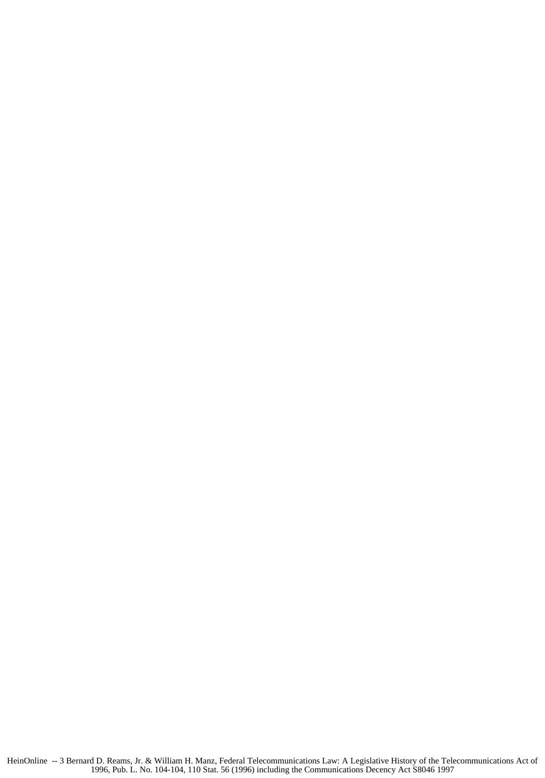HeinOnline -- 3 Bernard D. Reams, Jr. & William H. Manz, Federal Telecommunications Law: A Legislative History of the Telecommunications Act of 1996, Pub. L. No. 104-104, 110 Stat. 56 (1996) including the Communications Decency Act S8046 1997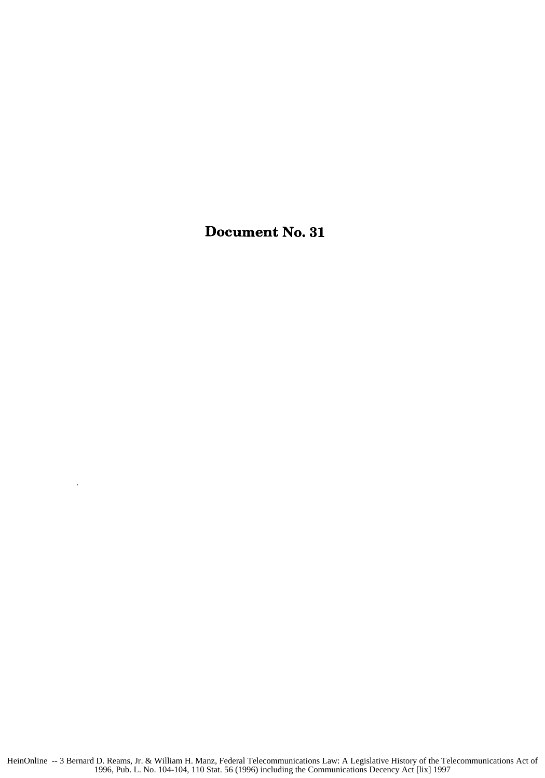Document No. **31**

 $\mathbf{r}$